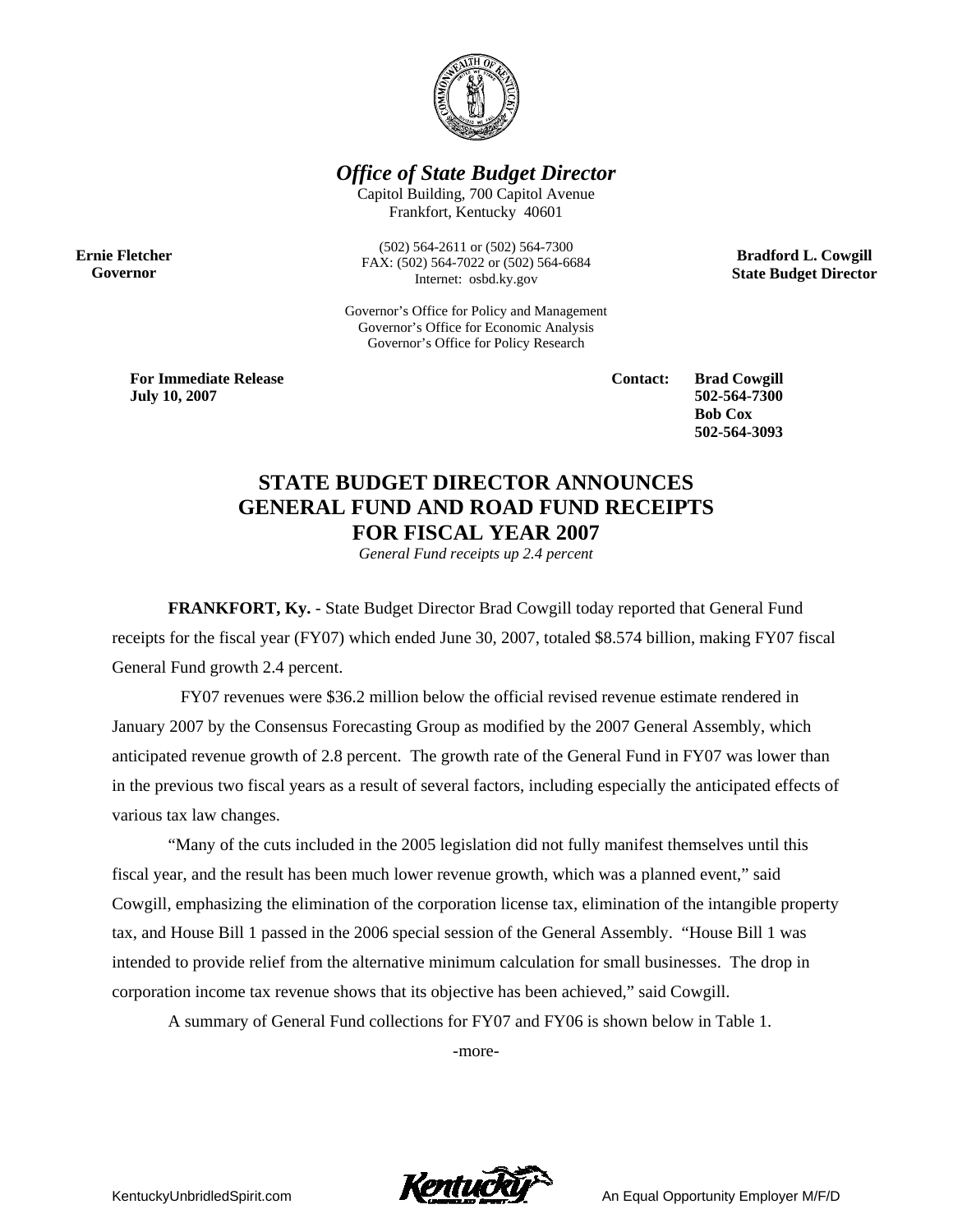

*Office of State Budget Director* 

Capitol Building, 700 Capitol Avenue Frankfort, Kentucky 40601

**Ernie Fletcher Governor** 

(502) 564-2611 or (502) 564-7300 FAX: (502) 564-7022 or (502) 564-6684 Internet: osbd.ky.gov

Governor's Office for Policy and Management Governor's Office for Economic Analysis Governor's Office for Policy Research

**Bradford L. Cowgill State Budget Director** 

**For Immediate Release July 10, 2007**

**Contact: Brad Cowgill 502-564-7300 Bob Cox 502-564-3093** 

# **STATE BUDGET DIRECTOR ANNOUNCES GENERAL FUND AND ROAD FUND RECEIPTS FOR FISCAL YEAR 2007**

*General Fund receipts up 2.4 percent* 

**FRANKFORT, Ky.** - State Budget Director Brad Cowgill today reported that General Fund receipts for the fiscal year (FY07) which ended June 30, 2007, totaled \$8.574 billion, making FY07 fiscal General Fund growth 2.4 percent.

 FY07 revenues were \$36.2 million below the official revised revenue estimate rendered in January 2007 by the Consensus Forecasting Group as modified by the 2007 General Assembly, which anticipated revenue growth of 2.8 percent. The growth rate of the General Fund in FY07 was lower than in the previous two fiscal years as a result of several factors, including especially the anticipated effects of various tax law changes.

"Many of the cuts included in the 2005 legislation did not fully manifest themselves until this fiscal year, and the result has been much lower revenue growth, which was a planned event," said Cowgill, emphasizing the elimination of the corporation license tax, elimination of the intangible property tax, and House Bill 1 passed in the 2006 special session of the General Assembly. "House Bill 1 was intended to provide relief from the alternative minimum calculation for small businesses. The drop in corporation income tax revenue shows that its objective has been achieved," said Cowgill.

A summary of General Fund collections for FY07 and FY06 is shown below in Table 1.

-more-

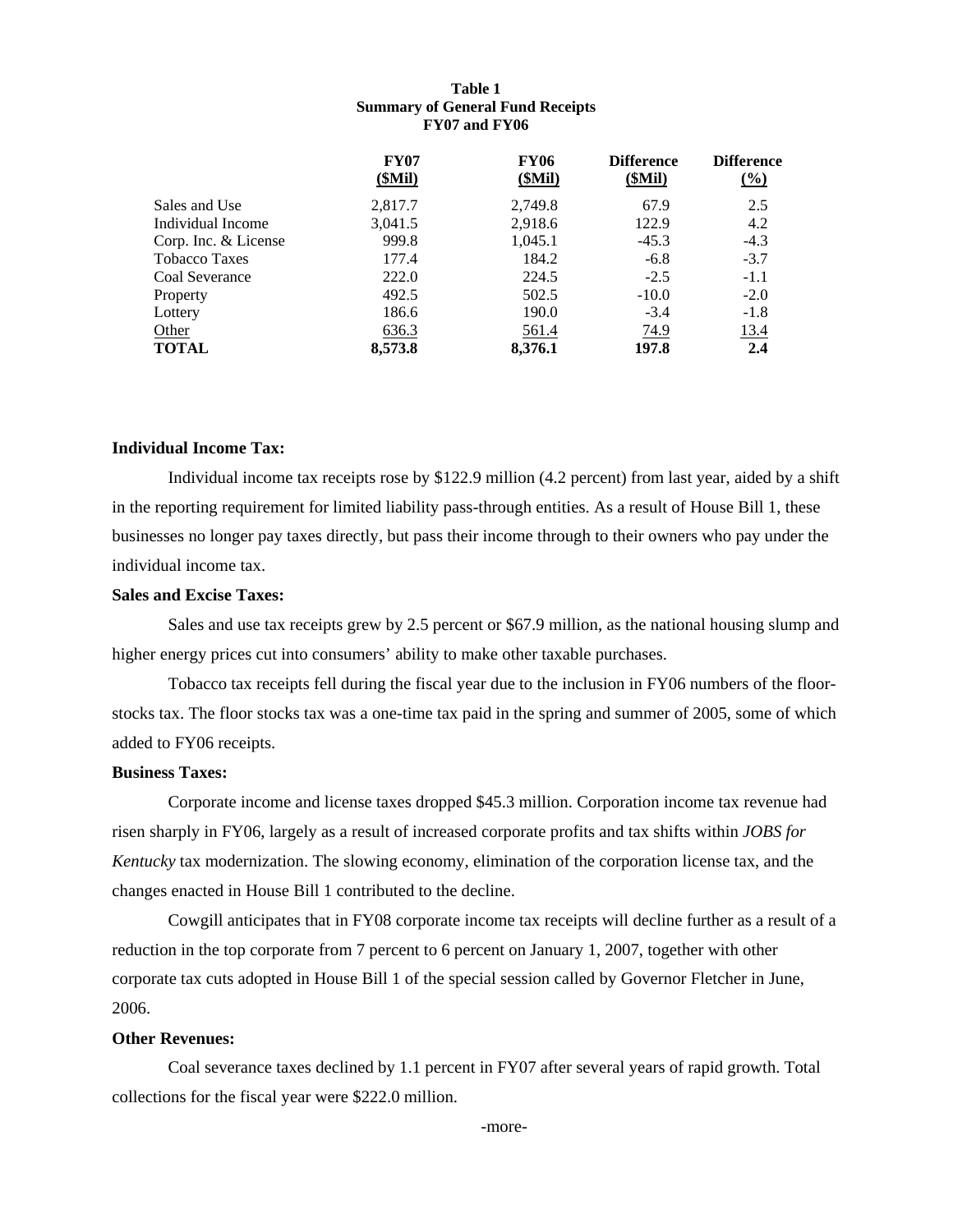#### **Table 1 Summary of General Fund Receipts FY07 and FY06**

|                      | <b>FY07</b><br>(SMil) | <b>FY06</b><br>(SMil) | <b>Difference</b><br>(SMil) | <b>Difference</b><br>$\frac{6}{2}$ |
|----------------------|-----------------------|-----------------------|-----------------------------|------------------------------------|
| Sales and Use        | 2,817.7               | 2,749.8               | 67.9                        | 2.5                                |
| Individual Income    | 3,041.5               | 2,918.6               | 122.9                       | 4.2                                |
| Corp. Inc. & License | 999.8                 | 1,045.1               | $-45.3$                     | $-4.3$                             |
| <b>Tobacco Taxes</b> | 177.4                 | 184.2                 | $-6.8$                      | $-3.7$                             |
| Coal Severance       | 222.0                 | 224.5                 | $-2.5$                      | $-1.1$                             |
| Property             | 492.5                 | 502.5                 | $-10.0$                     | $-2.0$                             |
| Lottery              | 186.6                 | 190.0                 | $-3.4$                      | $-1.8$                             |
| Other                | 636.3                 | 561.4                 | 74.9                        | <u>13.4</u>                        |
| <b>TOTAL</b>         | 8,573.8               | 8.376.1               | 197.8                       | 2.4                                |

#### **Individual Income Tax:**

Individual income tax receipts rose by \$122.9 million (4.2 percent) from last year, aided by a shift in the reporting requirement for limited liability pass-through entities. As a result of House Bill 1, these businesses no longer pay taxes directly, but pass their income through to their owners who pay under the individual income tax.

## **Sales and Excise Taxes:**

Sales and use tax receipts grew by 2.5 percent or \$67.9 million, as the national housing slump and higher energy prices cut into consumers' ability to make other taxable purchases.

Tobacco tax receipts fell during the fiscal year due to the inclusion in FY06 numbers of the floorstocks tax. The floor stocks tax was a one-time tax paid in the spring and summer of 2005, some of which added to FY06 receipts.

#### **Business Taxes:**

Corporate income and license taxes dropped \$45.3 million. Corporation income tax revenue had risen sharply in FY06, largely as a result of increased corporate profits and tax shifts within *JOBS for Kentucky* tax modernization. The slowing economy, elimination of the corporation license tax, and the changes enacted in House Bill 1 contributed to the decline.

Cowgill anticipates that in FY08 corporate income tax receipts will decline further as a result of a reduction in the top corporate from 7 percent to 6 percent on January 1, 2007, together with other corporate tax cuts adopted in House Bill 1 of the special session called by Governor Fletcher in June, 2006.

### **Other Revenues:**

Coal severance taxes declined by 1.1 percent in FY07 after several years of rapid growth. Total collections for the fiscal year were \$222.0 million.

-more-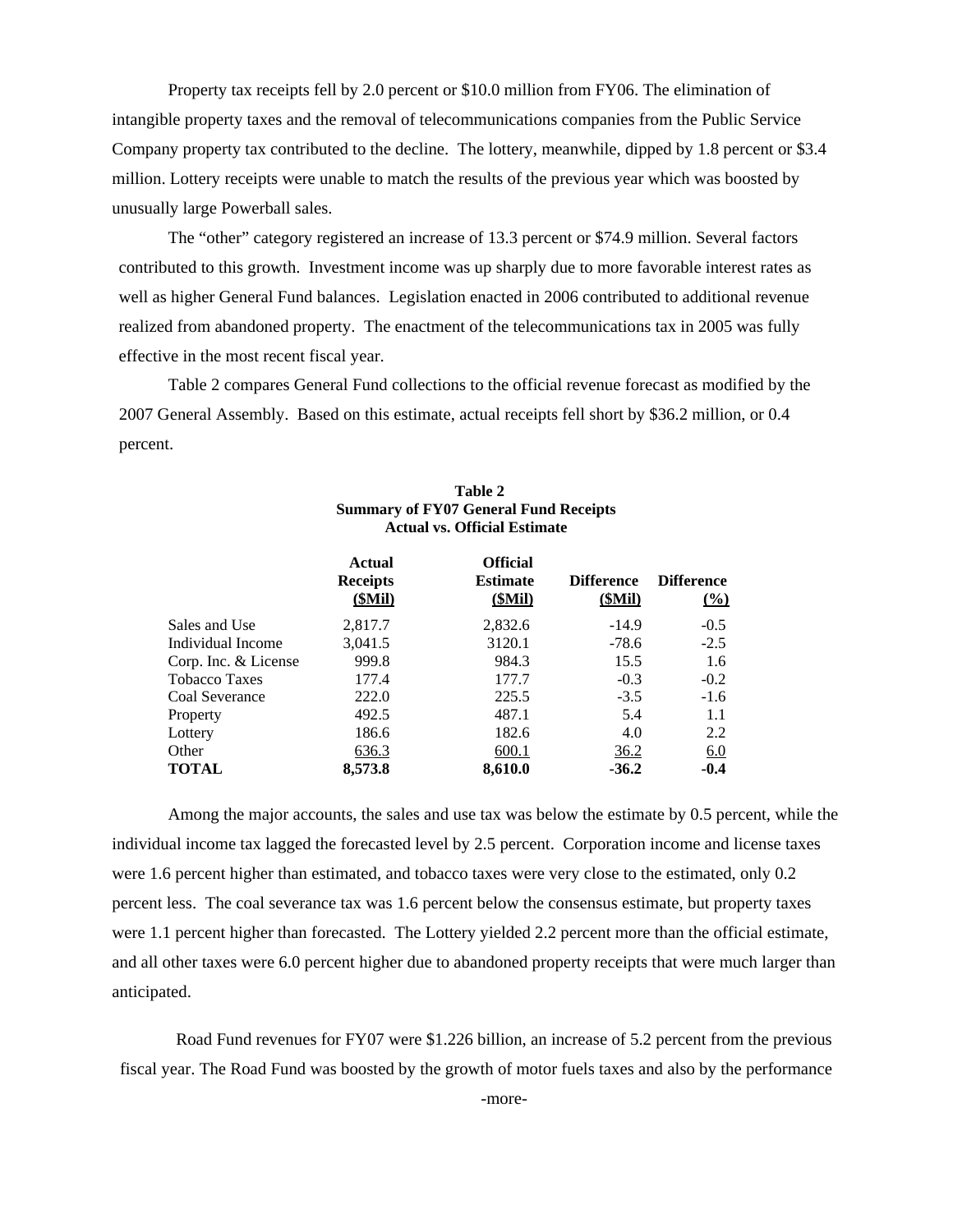Property tax receipts fell by 2.0 percent or \$10.0 million from FY06. The elimination of intangible property taxes and the removal of telecommunications companies from the Public Service Company property tax contributed to the decline. The lottery, meanwhile, dipped by 1.8 percent or \$3.4 million. Lottery receipts were unable to match the results of the previous year which was boosted by unusually large Powerball sales.

The "other" category registered an increase of 13.3 percent or \$74.9 million. Several factors contributed to this growth. Investment income was up sharply due to more favorable interest rates as well as higher General Fund balances. Legislation enacted in 2006 contributed to additional revenue realized from abandoned property. The enactment of the telecommunications tax in 2005 was fully effective in the most recent fiscal year.

Table 2 compares General Fund collections to the official revenue forecast as modified by the 2007 General Assembly. Based on this estimate, actual receipts fell short by \$36.2 million, or 0.4 percent.

|                      | Actual<br><b>Receipts</b><br>(SMil) | <b>Official</b><br><b>Estimate</b><br>(SMil) | <b>Difference</b><br><u>(\$Mil)</u> | <b>Difference</b><br>$\frac{0}{0}$ |
|----------------------|-------------------------------------|----------------------------------------------|-------------------------------------|------------------------------------|
| Sales and Use        | 2,817.7                             | 2,832.6                                      | $-14.9$                             | $-0.5$                             |
| Individual Income    | 3,041.5                             | 3120.1                                       | $-78.6$                             | $-2.5$                             |
| Corp. Inc. & License | 999.8                               | 984.3                                        | 15.5                                | 1.6                                |
| <b>Tobacco Taxes</b> | 177.4                               | 177.7                                        | $-0.3$                              | $-0.2$                             |
| Coal Severance       | 222.0                               | 225.5                                        | $-3.5$                              | $-1.6$                             |
| Property             | 492.5                               | 487.1                                        | 5.4                                 | 1.1                                |
| Lottery              | 186.6                               | 182.6                                        | 4.0                                 | 2.2                                |
| Other                | 636.3                               | 600.1                                        | 36.2                                | 6.0                                |
| <b>TOTAL</b>         | 8.573.8                             | 8.610.0                                      | $-36.2$                             | $-0.4$                             |

#### **Table 2 Summary of FY07 General Fund Receipts Actual vs. Official Estimate**

Among the major accounts, the sales and use tax was below the estimate by 0.5 percent, while the individual income tax lagged the forecasted level by 2.5 percent. Corporation income and license taxes were 1.6 percent higher than estimated, and tobacco taxes were very close to the estimated, only 0.2 percent less. The coal severance tax was 1.6 percent below the consensus estimate, but property taxes were 1.1 percent higher than forecasted. The Lottery yielded 2.2 percent more than the official estimate, and all other taxes were 6.0 percent higher due to abandoned property receipts that were much larger than anticipated.

Road Fund revenues for FY07 were \$1.226 billion, an increase of 5.2 percent from the previous fiscal year. The Road Fund was boosted by the growth of motor fuels taxes and also by the performance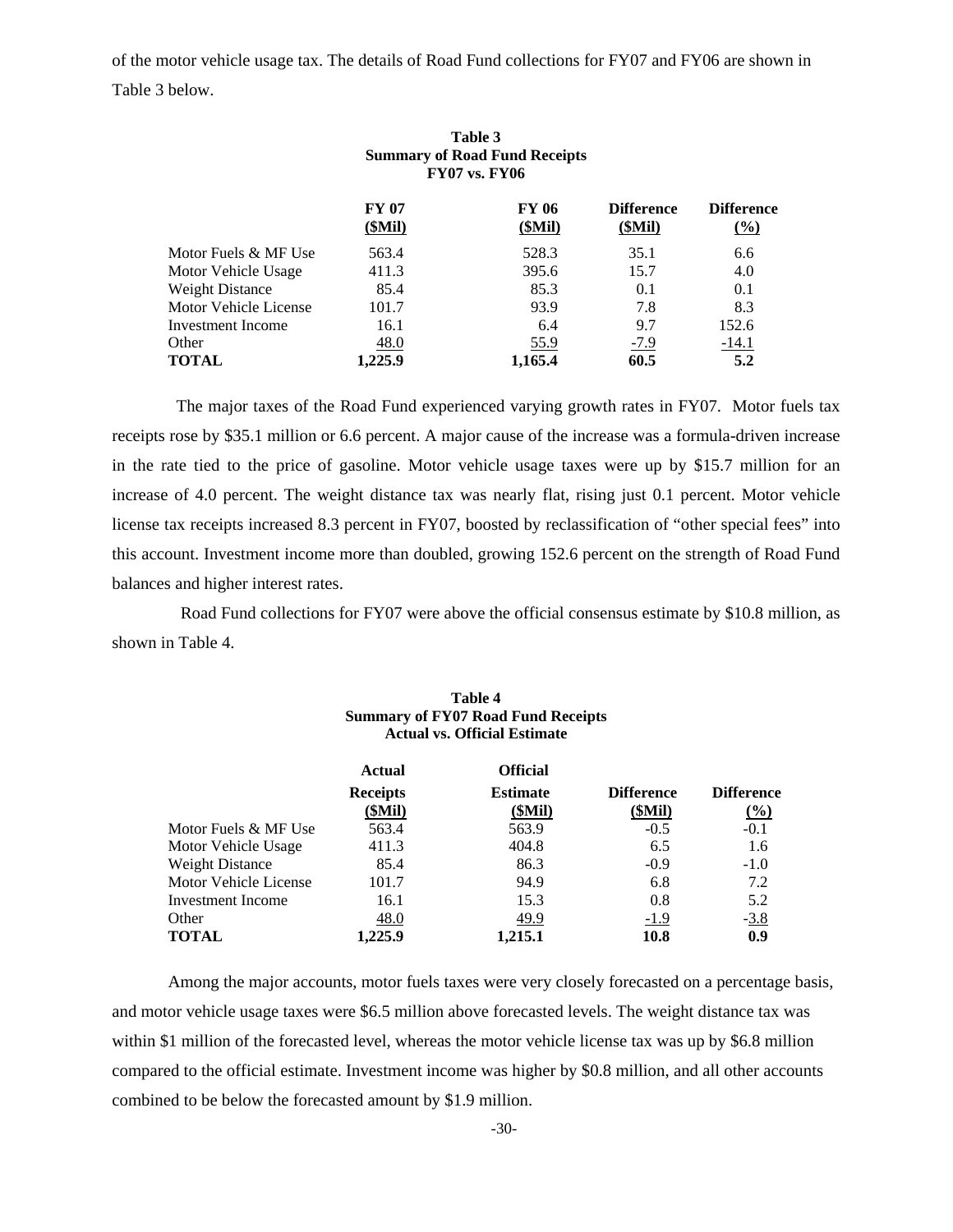of the motor vehicle usage tax. The details of Road Fund collections for FY07 and FY06 are shown in Table 3 below.

|                       | Table 3<br><b>Summary of Road Fund Receipts</b><br><b>FY07 vs. FY06</b> |                 |                             |                                      |
|-----------------------|-------------------------------------------------------------------------|-----------------|-----------------------------|--------------------------------------|
|                       | <b>FY 07</b><br>(SMil)                                                  | FY 06<br>(SMil) | <b>Difference</b><br>(SMil) | <b>Difference</b><br>$\frac{(0)}{0}$ |
| Motor Fuels & MF Use  | 563.4                                                                   | 528.3           | 35.1                        | 6.6                                  |
| Motor Vehicle Usage   | 411.3                                                                   | 395.6           | 15.7                        | 4.0                                  |
| Weight Distance       | 85.4                                                                    | 85.3            | 0.1                         | 0.1                                  |
| Motor Vehicle License | 101.7                                                                   | 93.9            | 7.8                         | 8.3                                  |
| Investment Income     | 16.1                                                                    | 6.4             | 9.7                         | 152.6                                |
| Other                 | <u>48.0</u>                                                             | <u>55.9</u>     | $-7.9$                      | $-14.1$                              |
| <b>TOTAL</b>          | 1.225.9                                                                 | 1,165.4         | 60.5                        | 5.2                                  |

 The major taxes of the Road Fund experienced varying growth rates in FY07. Motor fuels tax receipts rose by \$35.1 million or 6.6 percent. A major cause of the increase was a formula-driven increase in the rate tied to the price of gasoline. Motor vehicle usage taxes were up by \$15.7 million for an increase of 4.0 percent. The weight distance tax was nearly flat, rising just 0.1 percent. Motor vehicle license tax receipts increased 8.3 percent in FY07, boosted by reclassification of "other special fees" into this account. Investment income more than doubled, growing 152.6 percent on the strength of Road Fund balances and higher interest rates.

 Road Fund collections for FY07 were above the official consensus estimate by \$10.8 million, as shown in Table 4.

|                        | Summary of FY07 Road Fund Receipts<br><b>Actual vs. Official Estimate</b> |                                   |                             |                                    |  |
|------------------------|---------------------------------------------------------------------------|-----------------------------------|-----------------------------|------------------------------------|--|
|                        | <b>Actual</b>                                                             | <b>Official</b>                   |                             |                                    |  |
|                        | <b>Receipts</b><br>(SMil)                                                 | <b>Estimate</b><br><u>(\$Mil)</u> | <b>Difference</b><br>(SMil) | <b>Difference</b><br>$\frac{0}{0}$ |  |
| Motor Fuels & MF Use   | 563.4                                                                     | 563.9                             | $-0.5$                      | $-0.1$                             |  |
| Motor Vehicle Usage    | 411.3                                                                     | 404.8                             | 6.5                         | 1.6                                |  |
| <b>Weight Distance</b> | 85.4                                                                      | 86.3                              | $-0.9$                      | $-1.0$                             |  |
| Motor Vehicle License  | 101.7                                                                     | 94.9                              | 6.8                         | 7.2                                |  |
| Investment Income      | 16.1                                                                      | 15.3                              | 0.8                         | 5.2                                |  |
| Other                  | <u>48.0</u>                                                               | 49.9                              | $-1.9$                      | $-3.8$                             |  |
| <b>TOTAL</b>           | 1.225.9                                                                   | 1.215.1                           | 10.8                        | 0.9                                |  |

# **Table 4 Summary of FY07 Road Fund Receipts**

Among the major accounts, motor fuels taxes were very closely forecasted on a percentage basis, and motor vehicle usage taxes were \$6.5 million above forecasted levels. The weight distance tax was within \$1 million of the forecasted level, whereas the motor vehicle license tax was up by \$6.8 million compared to the official estimate. Investment income was higher by \$0.8 million, and all other accounts combined to be below the forecasted amount by \$1.9 million.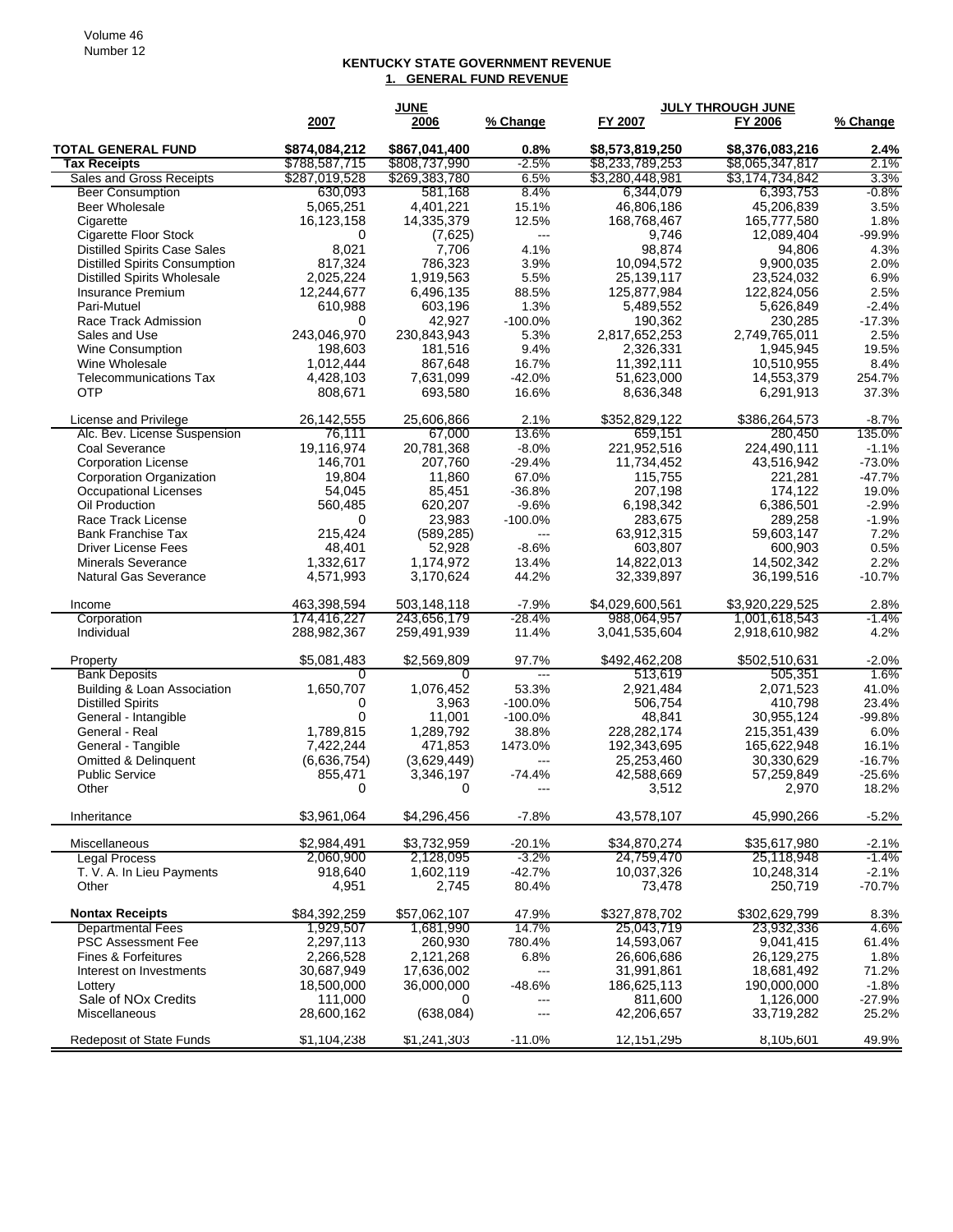#### **KENTUCKY STATE GOVERNMENT REVENUE 1. GENERAL FUND REVENUE**

|                                     |               | <b>JUNE</b>   |                          |                 | <b>JULY THROUGH JUNE</b> |              |
|-------------------------------------|---------------|---------------|--------------------------|-----------------|--------------------------|--------------|
|                                     | 2007          | 2006          | % Change                 | FY 2007         | FY 2006                  | % Change     |
| <b>TOTAL GENERAL FUND</b>           | \$874,084,212 | \$867,041,400 | 0.8%                     | \$8,573,819,250 | \$8,376,083,216          | 2.4%         |
| <b>Tax Receipts</b>                 | \$788,587,715 | \$808,737,990 | $-2.5%$                  | \$8,233,789,253 | \$8,065,347,817          | 2.1%         |
| Sales and Gross Receipts            | \$287,019,528 | \$269,383,780 | 6.5%                     | \$3,280,448,981 | \$3,174,734,842          | 3.3%         |
| <b>Beer Consumption</b>             | 630,093       | 581,168       | 8.4%                     | 6,344,079       | 6,393,753                | $-0.8%$      |
| <b>Beer Wholesale</b>               | 5,065,251     | 4,401,221     | 15.1%                    | 46,806,186      | 45,206,839               | 3.5%         |
| Cigarette                           | 16,123,158    | 14,335,379    | 12.5%                    | 168,768,467     | 165,777,580              | 1.8%         |
| <b>Cigarette Floor Stock</b>        | 0             | (7,625)       | $\overline{a}$           | 9,746           | 12,089,404               | $-99.9%$     |
| <b>Distilled Spirits Case Sales</b> | 8,021         | 7,706         | 4.1%                     | 98,874          | 94,806                   | 4.3%         |
| Distilled Spirits Consumption       | 817,324       | 786,323       | 3.9%                     | 10.094,572      | 9,900,035                | 2.0%         |
| <b>Distilled Spirits Wholesale</b>  | 2,025,224     | 1,919,563     | 5.5%                     | 25,139,117      | 23,524,032               | 6.9%         |
| Insurance Premium                   | 12,244,677    | 6,496,135     | 88.5%                    | 125,877,984     | 122,824,056              | 2.5%         |
| Pari-Mutuel                         | 610,988       | 603,196       | 1.3%                     | 5,489,552       | 5,626,849                | $-2.4%$      |
| Race Track Admission                | 0             | 42,927        | $-100.0\%$               | 190,362         | 230,285                  | $-17.3%$     |
| Sales and Use                       | 243,046,970   | 230,843,943   | 5.3%                     | 2,817,652,253   | 2,749,765,011            | 2.5%         |
| <b>Wine Consumption</b>             | 198,603       | 181,516       | 9.4%                     | 2,326,331       | 1,945,945                | 19.5%        |
| Wine Wholesale                      | 1,012,444     | 867,648       | 16.7%                    | 11,392,111      | 10,510,955               | 8.4%         |
| <b>Telecommunications Tax</b>       | 4,428,103     | 7,631,099     | $-42.0%$                 | 51,623,000      | 14,553,379               | 254.7%       |
| <b>OTP</b>                          | 808,671       | 693,580       | 16.6%                    | 8,636,348       | 6,291,913                | 37.3%        |
| License and Privilege               | 26,142,555    | 25,606,866    | 2.1%                     | \$352,829,122   | \$386,264,573            | $-8.7%$      |
| Alc. Bev. License Suspension        | 76.111        | 67,000        | 13.6%                    | 659,151         | 280,450                  | 135.0%       |
| Coal Severance                      | 19,116,974    | 20,781,368    | $-8.0%$                  | 221,952,516     | 224,490,111              | $-1.1%$      |
| <b>Corporation License</b>          | 146,701       | 207,760       | $-29.4%$                 | 11,734,452      | 43,516,942               | $-73.0%$     |
| Corporation Organization            | 19,804        | 11,860        | 67.0%                    | 115,755         | 221,281                  | $-47.7%$     |
| <b>Occupational Licenses</b>        | 54,045        | 85,451        | $-36.8%$                 | 207,198         | 174,122                  | 19.0%        |
| Oil Production                      | 560,485       | 620,207       | $-9.6%$                  | 6,198,342       | 6,386,501                | $-2.9%$      |
| Race Track License                  | 0             | 23,983        | $-100.0\%$               | 283,675         | 289,258                  | $-1.9%$      |
| <b>Bank Franchise Tax</b>           | 215,424       | (589, 285)    | $---$                    | 63,912,315      | 59,603,147               | 7.2%         |
| <b>Driver License Fees</b>          | 48,401        | 52.928        | $-8.6%$                  | 603,807         | 600,903                  | 0.5%         |
| <b>Minerals Severance</b>           | 1,332,617     | 1,174,972     | 13.4%                    | 14,822,013      | 14,502,342               | 2.2%         |
| <b>Natural Gas Severance</b>        | 4,571,993     | 3,170,624     | 44.2%                    | 32,339,897      | 36,199,516               | $-10.7%$     |
| Income                              | 463,398,594   | 503,148,118   | $-7.9\%$                 | \$4,029,600,561 | \$3,920,229,525          | 2.8%         |
| Corporation                         | 174,416,227   | 243,656,179   | $-28.4%$                 | 988.064.957     | 1,001,618,543            | $-1.4%$      |
| Individual                          | 288,982,367   | 259,491,939   | 11.4%                    | 3,041,535,604   | 2,918,610,982            | 4.2%         |
| Property                            | \$5,081,483   | \$2,569,809   | 97.7%                    | \$492,462,208   | \$502,510,631            | $-2.0%$      |
| <b>Bank Deposits</b>                | 0             | 0             | $\overline{\phantom{a}}$ | 513,619         | 505,351                  | 1.6%         |
| Building & Loan Association         | 1,650,707     | 1,076,452     | 53.3%                    | 2,921,484       | 2,071,523                | 41.0%        |
| <b>Distilled Spirits</b>            | 0             | 3,963         | $-100.0%$                | 506,754         | 410,798                  | 23.4%        |
| General - Intangible                | 0             | 11,001        | $-100.0%$                | 48,841          | 30,955,124               | $-99.8%$     |
| General - Real                      | 1,789,815     | 1,289,792     | 38.8%                    | 228,282,174     | 215,351,439              | 6.0%         |
| General - Tangible                  | 7,422,244     | 471,853       | 1473.0%                  | 192,343,695     | 165,622,948              | 16.1%        |
| <b>Omitted &amp; Delinquent</b>     | (6,636,754)   | (3,629,449)   | ---                      | 25,253,460      | 30,330,629               | $-16.7%$     |
| <b>Public Service</b>               | 855,471       | 3,346,197     | $-74.4%$                 | 42,588,669      | 57,259,849               | $-25.6%$     |
| Other                               | 0             | 0             | ---                      | 3,512           | 2,970                    | 18.2%        |
| Inheritance                         | \$3,961,064   | \$4,296,456   | $-7.8%$                  | 43,578,107      | 45,990,266               | $-5.2%$      |
| Miscellaneous                       | \$2,984,491   | \$3,732,959   | $-20.1%$                 | \$34,870,274    | \$35,617,980             | $-2.1%$      |
| <b>Legal Process</b>                | 2,060,900     | 2,128,095     | $-3.2%$                  | 24,759,470      | 25,118,948               | $-1.4%$      |
| T. V. A. In Lieu Payments           | 918,640       | 1,602,119     | $-42.7%$                 | 10,037,326      | 10,248,314               | $-2.1%$      |
| Other                               | 4,951         | 2,745         | 80.4%                    | 73,478          | 250,719                  | $-70.7%$     |
| <b>Nontax Receipts</b>              | \$84,392,259  | \$57,062,107  | 47.9%                    | \$327,878,702   | \$302,629,799            |              |
| <b>Departmental Fees</b>            | 1,929,507     | 1,681,990     | 14.7%                    | 25,043,719      | 23,932,336               | 8.3%<br>4.6% |
| <b>PSC Assessment Fee</b>           | 2,297,113     | 260,930       | 780.4%                   | 14,593,067      | 9,041,415                | 61.4%        |
| Fines & Forfeitures                 | 2,266,528     | 2,121,268     | 6.8%                     | 26,606,686      | 26,129,275               | 1.8%         |
| Interest on Investments             | 30,687,949    | 17,636,002    | ---                      | 31,991,861      | 18,681,492               | 71.2%        |
| Lottery                             | 18,500,000    | 36,000,000    | $-48.6%$                 | 186,625,113     | 190,000,000              | $-1.8%$      |
| Sale of NO <sub>x</sub> Credits     | 111,000       | 0             | ---                      | 811,600         | 1,126,000                | $-27.9%$     |
| Miscellaneous                       | 28,600,162    | (638, 084)    | ---                      | 42,206,657      | 33,719,282               | 25.2%        |
|                                     |               |               |                          |                 |                          |              |
| <b>Redeposit of State Funds</b>     | \$1,104,238   | \$1,241,303   | $-11.0%$                 | 12,151,295      | 8,105,601                | 49.9%        |